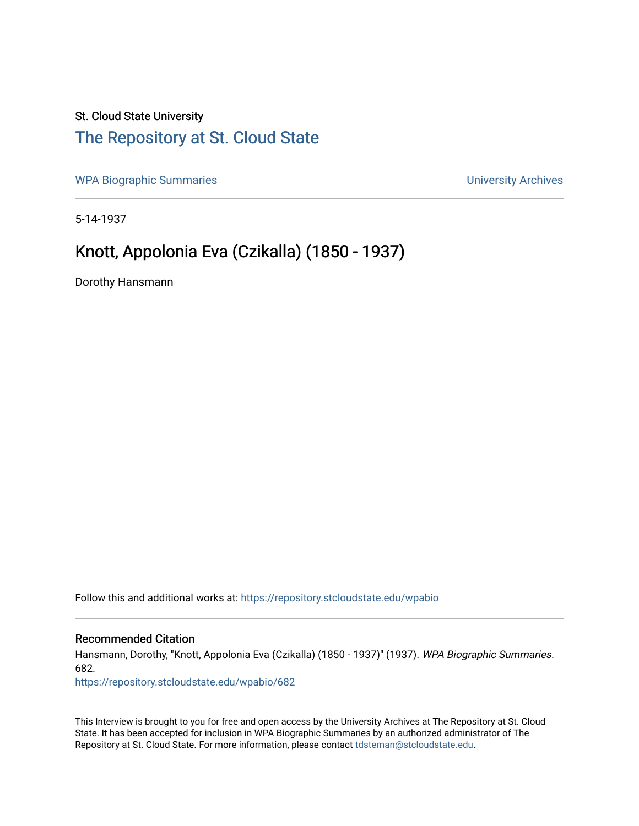## St. Cloud State University [The Repository at St. Cloud State](https://repository.stcloudstate.edu/)

[WPA Biographic Summaries](https://repository.stcloudstate.edu/wpabio) **WPA Biographic Summaries University Archives** 

5-14-1937

## Knott, Appolonia Eva (Czikalla) (1850 - 1937)

Dorothy Hansmann

Follow this and additional works at: [https://repository.stcloudstate.edu/wpabio](https://repository.stcloudstate.edu/wpabio?utm_source=repository.stcloudstate.edu%2Fwpabio%2F682&utm_medium=PDF&utm_campaign=PDFCoverPages) 

#### Recommended Citation

Hansmann, Dorothy, "Knott, Appolonia Eva (Czikalla) (1850 - 1937)" (1937). WPA Biographic Summaries. 682.

[https://repository.stcloudstate.edu/wpabio/682](https://repository.stcloudstate.edu/wpabio/682?utm_source=repository.stcloudstate.edu%2Fwpabio%2F682&utm_medium=PDF&utm_campaign=PDFCoverPages) 

This Interview is brought to you for free and open access by the University Archives at The Repository at St. Cloud State. It has been accepted for inclusion in WPA Biographic Summaries by an authorized administrator of The Repository at St. Cloud State. For more information, please contact [tdsteman@stcloudstate.edu.](mailto:tdsteman@stcloudstate.edu)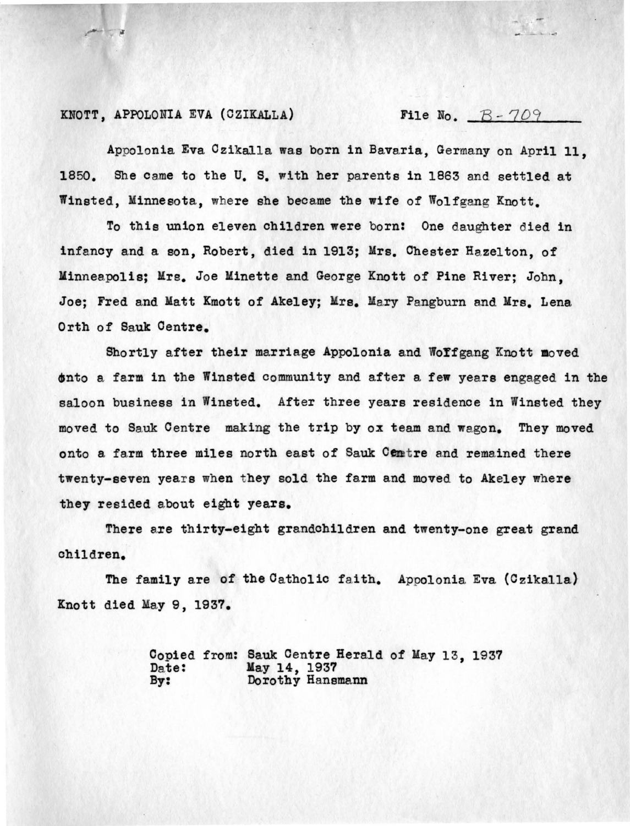### KNOTT, APPOLONIA EVA (CZIKALLA) File No.  $B - 709$

Appolonia Eva Czika1la was born in Bavaria, Germany on April 11, 1850. She came to the U.S. with her parents in 1863 and settled at Winsted, Minnesota, where she became the wife of Wolfgang Knott.

To this union eleven children were born: One daughter died in infancy and a son, Robert, died in 1913; Mrs. Chester Hazelton, of Minneapolis; Mrs. Joe Minette and George Knott of Pine River; John, Joe; Fred and Matt Kmott of Akeley; Mrs. Mary Pangburn and Mrs. Lena Orth of Sauk Centre.

Shortly after their marriage Appolonia and Woffgang Knott moved tnto a farm in the Winsted community and after a few years engaged in the saloon business in Winsted. After three years residence in Winsted they moved to Sauk Centre making the trip by ox team and wagon. They moved onto a farm three miles north east of Sauk Centre and remained there twenty-seven years when they sold the farm and moved to Akeley where they resided about eight years.

There are thirty-eight grandchildren and twenty-one great grand children.

The family are of the Catholic faith. Appolonia Eva (Czikalla) Knott died May 9, 1937.

|       | Copied from: Sauk Centre Herald of May 13, 1937 |  |  |  |
|-------|-------------------------------------------------|--|--|--|
| Date: |                                                 |  |  |  |
| By:   | May 14, 1937<br>Dorothy Hansmann                |  |  |  |